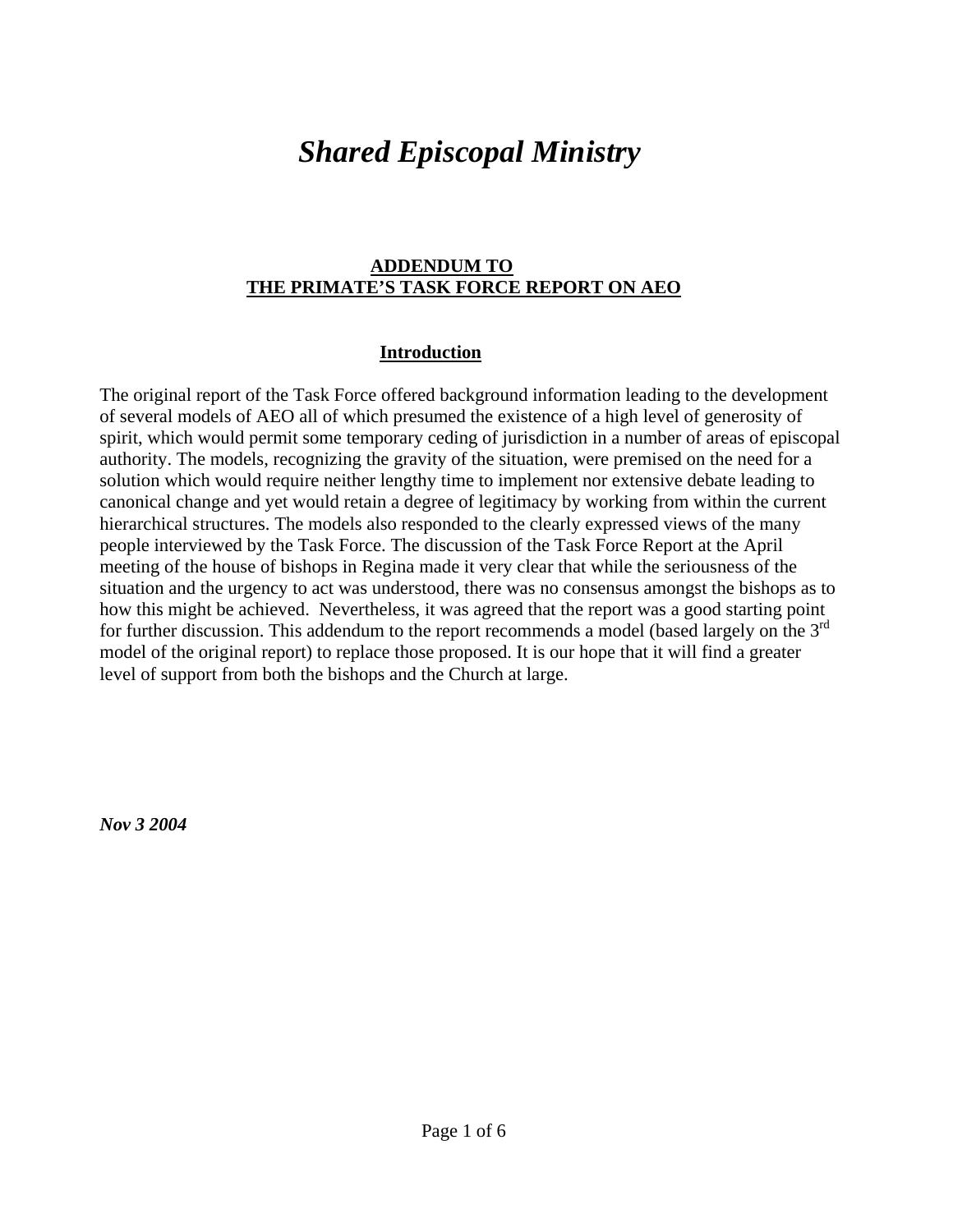# *Shared Episcopal Ministry*

#### **ADDENDUM TO THE PRIMATE'S TASK FORCE REPORT ON AEO**

### **Introduction**

The original report of the Task Force offered background information leading to the development of several models of AEO all of which presumed the existence of a high level of generosity of spirit, which would permit some temporary ceding of jurisdiction in a number of areas of episcopal authority. The models, recognizing the gravity of the situation, were premised on the need for a solution which would require neither lengthy time to implement nor extensive debate leading to canonical change and yet would retain a degree of legitimacy by working from within the current hierarchical structures. The models also responded to the clearly expressed views of the many people interviewed by the Task Force. The discussion of the Task Force Report at the April meeting of the house of bishops in Regina made it very clear that while the seriousness of the situation and the urgency to act was understood, there was no consensus amongst the bishops as to how this might be achieved. Nevertheless, it was agreed that the report was a good starting point for further discussion. This addendum to the report recommends a model (based largely on the 3<sup>rd</sup> model of the original report) to replace those proposed. It is our hope that it will find a greater level of support from both the bishops and the Church at large.

*Nov 3 2004*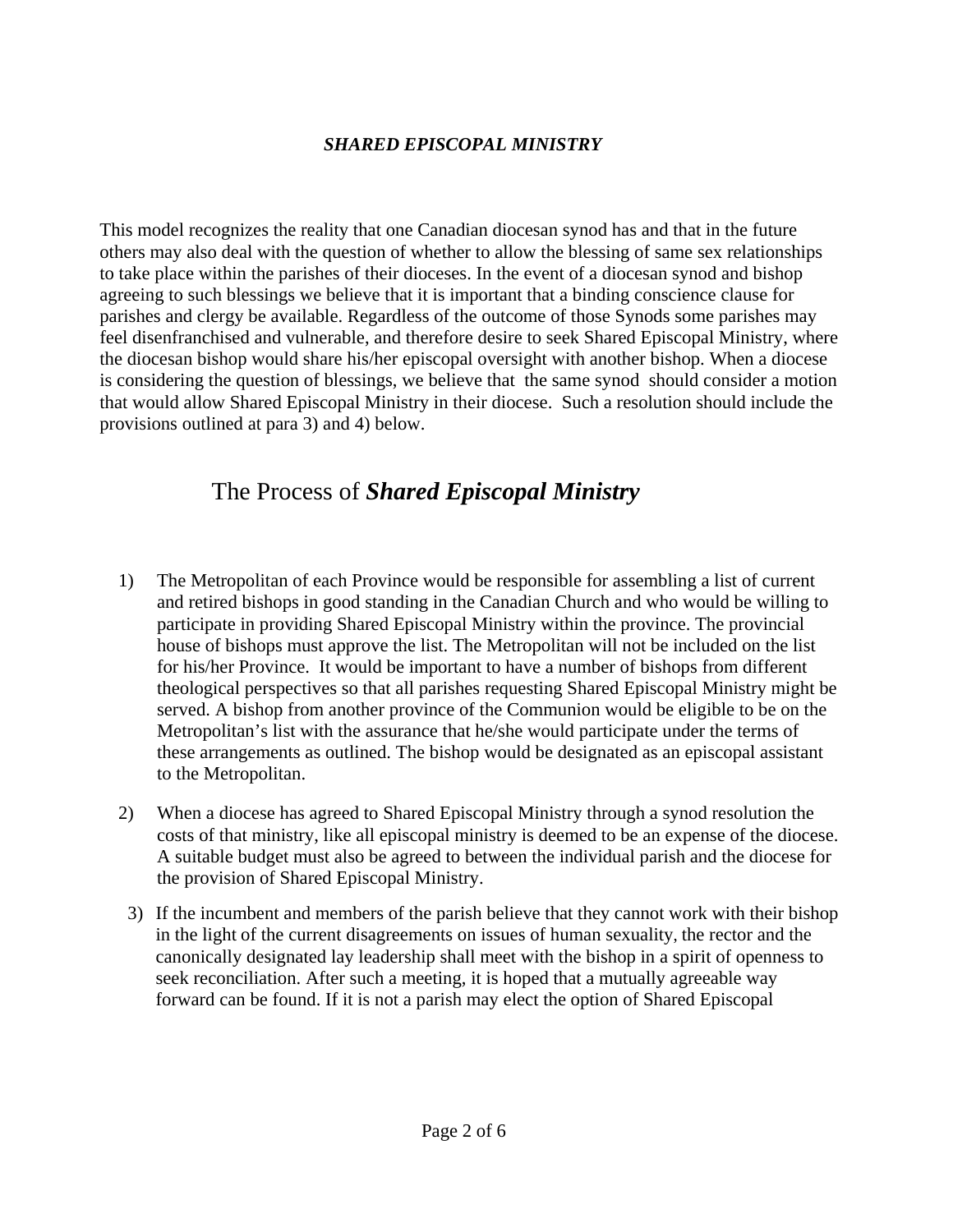#### *SHARED EPISCOPAL MINISTRY*

This model recognizes the reality that one Canadian diocesan synod has and that in the future others may also deal with the question of whether to allow the blessing of same sex relationships to take place within the parishes of their dioceses. In the event of a diocesan synod and bishop agreeing to such blessings we believe that it is important that a binding conscience clause for parishes and clergy be available. Regardless of the outcome of those Synods some parishes may feel disenfranchised and vulnerable, and therefore desire to seek Shared Episcopal Ministry, where the diocesan bishop would share his/her episcopal oversight with another bishop. When a diocese is considering the question of blessings, we believe that the same synod should consider a motion that would allow Shared Episcopal Ministry in their diocese. Such a resolution should include the provisions outlined at para 3) and 4) below.

### The Process of *Shared Episcopal Ministry*

- 1) The Metropolitan of each Province would be responsible for assembling a list of current and retired bishops in good standing in the Canadian Church and who would be willing to participate in providing Shared Episcopal Ministry within the province. The provincial house of bishops must approve the list. The Metropolitan will not be included on the list for his/her Province. It would be important to have a number of bishops from different theological perspectives so that all parishes requesting Shared Episcopal Ministry might be served. A bishop from another province of the Communion would be eligible to be on the Metropolitan's list with the assurance that he/she would participate under the terms of these arrangements as outlined. The bishop would be designated as an episcopal assistant to the Metropolitan.
- 2) When a diocese has agreed to Shared Episcopal Ministry through a synod resolution the costs of that ministry, like all episcopal ministry is deemed to be an expense of the diocese. A suitable budget must also be agreed to between the individual parish and the diocese for the provision of Shared Episcopal Ministry.
- 3) If the incumbent and members of the parish believe that they cannot work with their bishop in the light of the current disagreements on issues of human sexuality, the rector and the canonically designated lay leadership shall meet with the bishop in a spirit of openness to seek reconciliation. After such a meeting, it is hoped that a mutually agreeable way forward can be found. If it is not a parish may elect the option of Shared Episcopal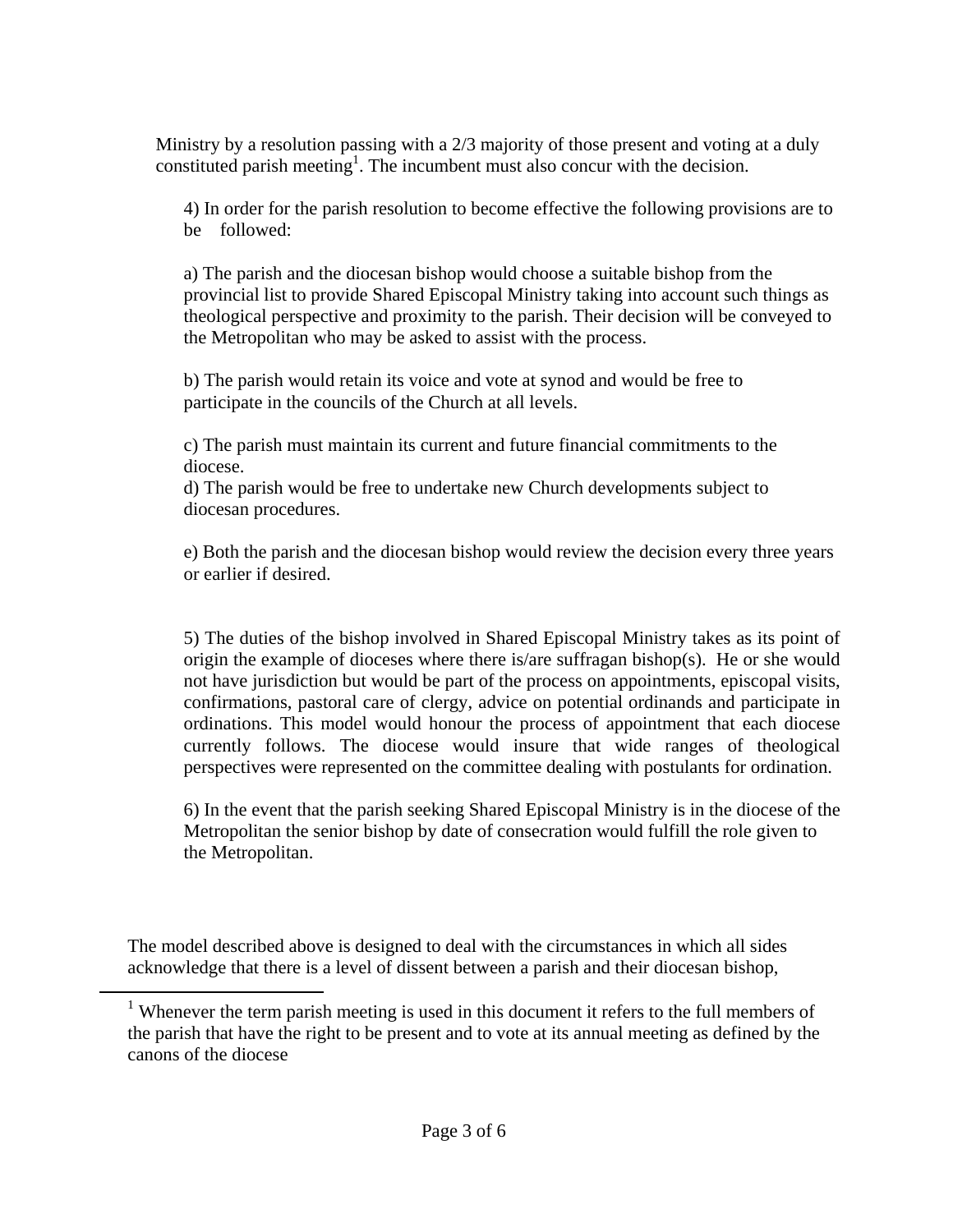Ministry by a resolution passing with a 2/3 majority of those present and voting at a duly constituted parish meeting<sup>1</sup>. The incumbent must also concur with the decision.

4) In order for the parish resolution to become effective the following provisions are to be followed:

a) The parish and the diocesan bishop would choose a suitable bishop from the provincial list to provide Shared Episcopal Ministry taking into account such things as theological perspective and proximity to the parish. Their decision will be conveyed to the Metropolitan who may be asked to assist with the process.

b) The parish would retain its voice and vote at synod and would be free to participate in the councils of the Church at all levels.

c) The parish must maintain its current and future financial commitments to the diocese.

d) The parish would be free to undertake new Church developments subject to diocesan procedures.

e) Both the parish and the diocesan bishop would review the decision every three years or earlier if desired.

5) The duties of the bishop involved in Shared Episcopal Ministry takes as its point of origin the example of dioceses where there is/are suffragan bishop(s). He or she would not have jurisdiction but would be part of the process on appointments, episcopal visits, confirmations, pastoral care of clergy, advice on potential ordinands and participate in ordinations. This model would honour the process of appointment that each diocese currently follows. The diocese would insure that wide ranges of theological perspectives were represented on the committee dealing with postulants for ordination.

6) In the event that the parish seeking Shared Episcopal Ministry is in the diocese of the Metropolitan the senior bishop by date of consecration would fulfill the role given to the Metropolitan.

The model described above is designed to deal with the circumstances in which all sides acknowledge that there is a level of dissent between a parish and their diocesan bishop,

1

<sup>&</sup>lt;sup>1</sup> Whenever the term parish meeting is used in this document it refers to the full members of the parish that have the right to be present and to vote at its annual meeting as defined by the canons of the diocese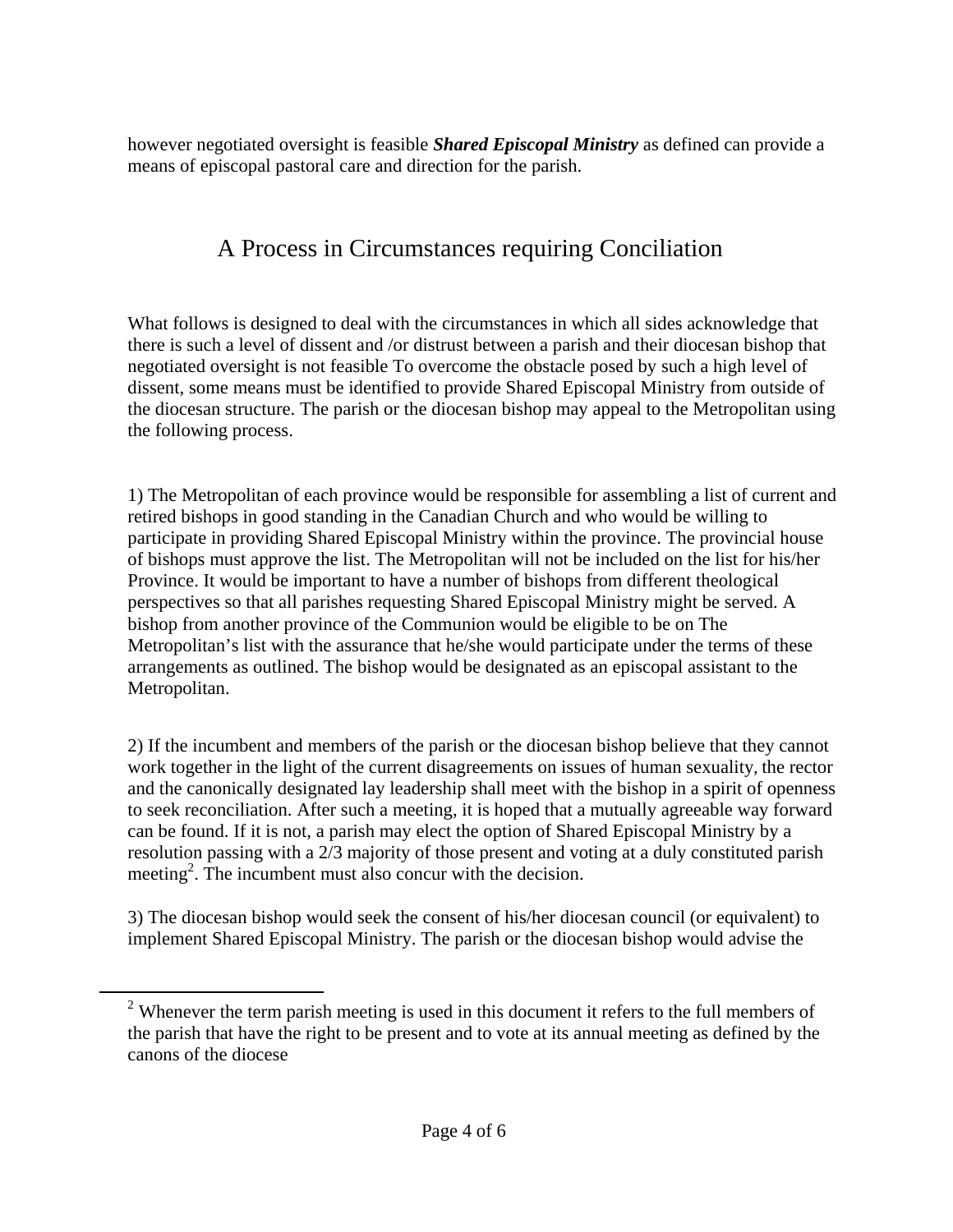however negotiated oversight is feasible *Shared Episcopal Ministry* as defined can provide a means of episcopal pastoral care and direction for the parish.

## A Process in Circumstances requiring Conciliation

What follows is designed to deal with the circumstances in which all sides acknowledge that there is such a level of dissent and /or distrust between a parish and their diocesan bishop that negotiated oversight is not feasible To overcome the obstacle posed by such a high level of dissent, some means must be identified to provide Shared Episcopal Ministry from outside of the diocesan structure. The parish or the diocesan bishop may appeal to the Metropolitan using the following process.

1) The Metropolitan of each province would be responsible for assembling a list of current and retired bishops in good standing in the Canadian Church and who would be willing to participate in providing Shared Episcopal Ministry within the province. The provincial house of bishops must approve the list. The Metropolitan will not be included on the list for his/her Province. It would be important to have a number of bishops from different theological perspectives so that all parishes requesting Shared Episcopal Ministry might be served. A bishop from another province of the Communion would be eligible to be on The Metropolitan's list with the assurance that he/she would participate under the terms of these arrangements as outlined. The bishop would be designated as an episcopal assistant to the Metropolitan.

2) If the incumbent and members of the parish or the diocesan bishop believe that they cannot work together in the light of the current disagreements on issues of human sexuality, the rector and the canonically designated lay leadership shall meet with the bishop in a spirit of openness to seek reconciliation. After such a meeting, it is hoped that a mutually agreeable way forward can be found. If it is not, a parish may elect the option of Shared Episcopal Ministry by a resolution passing with a 2/3 majority of those present and voting at a duly constituted parish meeting<sup>2</sup>. The incumbent must also concur with the decision.

3) The diocesan bishop would seek the consent of his/her diocesan council (or equivalent) to implement Shared Episcopal Ministry. The parish or the diocesan bishop would advise the

1

 $2$  Whenever the term parish meeting is used in this document it refers to the full members of the parish that have the right to be present and to vote at its annual meeting as defined by the canons of the diocese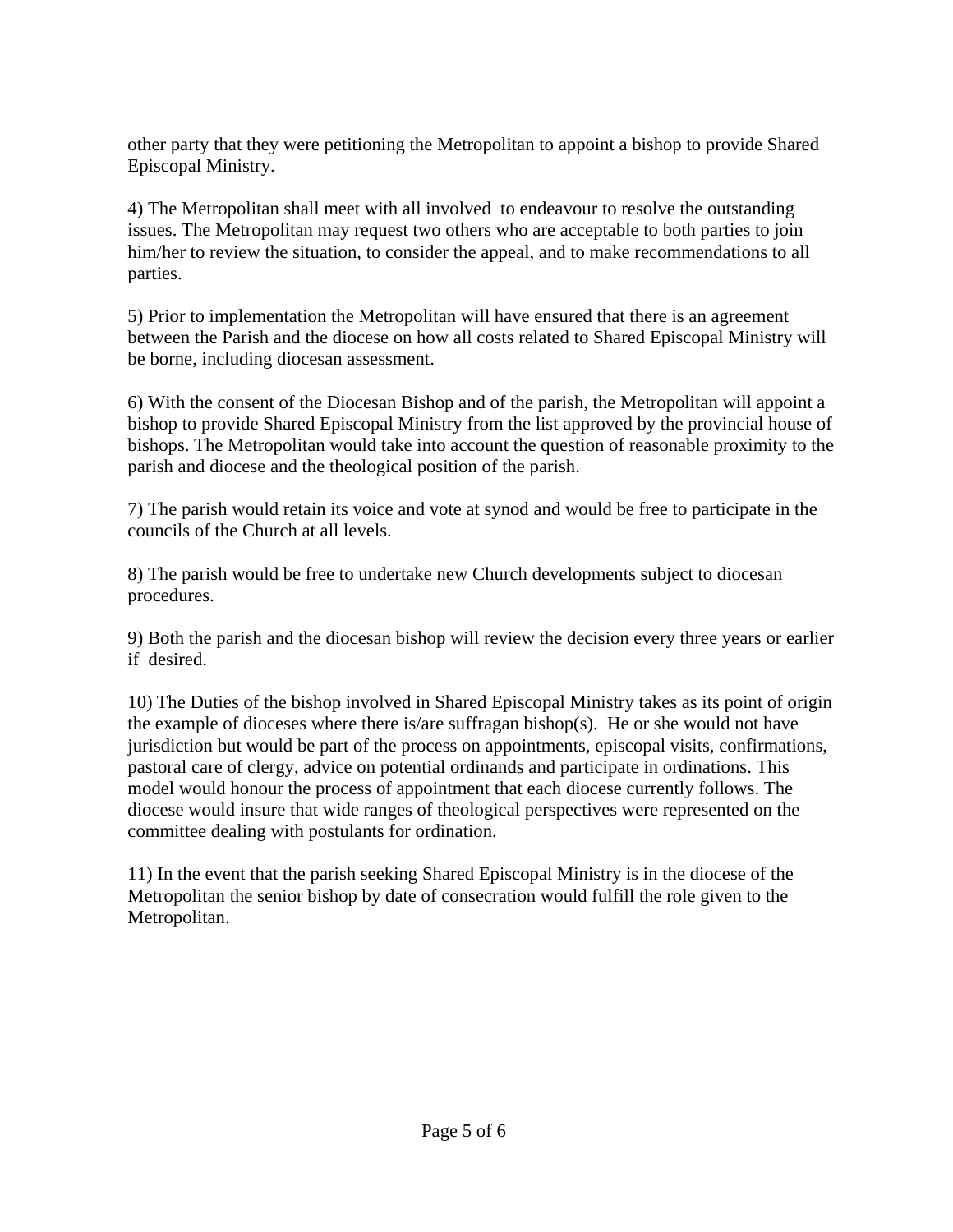other party that they were petitioning the Metropolitan to appoint a bishop to provide Shared Episcopal Ministry.

4) The Metropolitan shall meet with all involved to endeavour to resolve the outstanding issues. The Metropolitan may request two others who are acceptable to both parties to join him/her to review the situation, to consider the appeal, and to make recommendations to all parties.

5) Prior to implementation the Metropolitan will have ensured that there is an agreement between the Parish and the diocese on how all costs related to Shared Episcopal Ministry will be borne, including diocesan assessment.

6) With the consent of the Diocesan Bishop and of the parish, the Metropolitan will appoint a bishop to provide Shared Episcopal Ministry from the list approved by the provincial house of bishops. The Metropolitan would take into account the question of reasonable proximity to the parish and diocese and the theological position of the parish.

7) The parish would retain its voice and vote at synod and would be free to participate in the councils of the Church at all levels.

8) The parish would be free to undertake new Church developments subject to diocesan procedures.

9) Both the parish and the diocesan bishop will review the decision every three years or earlier if desired.

10) The Duties of the bishop involved in Shared Episcopal Ministry takes as its point of origin the example of dioceses where there is/are suffragan bishop(s). He or she would not have jurisdiction but would be part of the process on appointments, episcopal visits, confirmations, pastoral care of clergy, advice on potential ordinands and participate in ordinations. This model would honour the process of appointment that each diocese currently follows. The diocese would insure that wide ranges of theological perspectives were represented on the committee dealing with postulants for ordination.

11) In the event that the parish seeking Shared Episcopal Ministry is in the diocese of the Metropolitan the senior bishop by date of consecration would fulfill the role given to the Metropolitan.